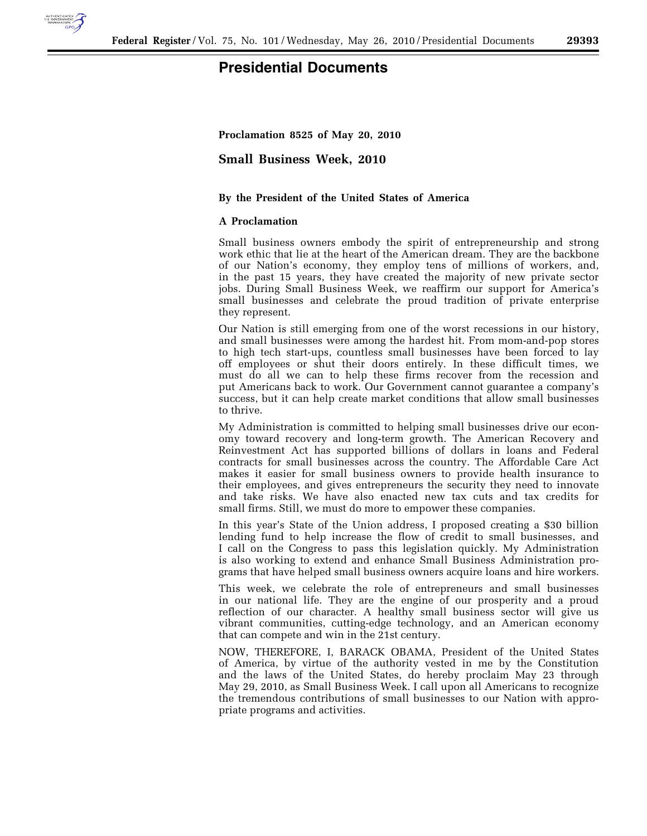

## **Presidential Documents**

**Proclamation 8525 of May 20, 2010** 

**Small Business Week, 2010** 

## **By the President of the United States of America**

## **A Proclamation**

Small business owners embody the spirit of entrepreneurship and strong work ethic that lie at the heart of the American dream. They are the backbone of our Nation's economy, they employ tens of millions of workers, and, in the past 15 years, they have created the majority of new private sector jobs. During Small Business Week, we reaffirm our support for America's small businesses and celebrate the proud tradition of private enterprise they represent.

Our Nation is still emerging from one of the worst recessions in our history, and small businesses were among the hardest hit. From mom-and-pop stores to high tech start-ups, countless small businesses have been forced to lay off employees or shut their doors entirely. In these difficult times, we must do all we can to help these firms recover from the recession and put Americans back to work. Our Government cannot guarantee a company's success, but it can help create market conditions that allow small businesses to thrive.

My Administration is committed to helping small businesses drive our economy toward recovery and long-term growth. The American Recovery and Reinvestment Act has supported billions of dollars in loans and Federal contracts for small businesses across the country. The Affordable Care Act makes it easier for small business owners to provide health insurance to their employees, and gives entrepreneurs the security they need to innovate and take risks. We have also enacted new tax cuts and tax credits for small firms. Still, we must do more to empower these companies.

In this year's State of the Union address, I proposed creating a \$30 billion lending fund to help increase the flow of credit to small businesses, and I call on the Congress to pass this legislation quickly. My Administration is also working to extend and enhance Small Business Administration programs that have helped small business owners acquire loans and hire workers.

This week, we celebrate the role of entrepreneurs and small businesses in our national life. They are the engine of our prosperity and a proud reflection of our character. A healthy small business sector will give us vibrant communities, cutting-edge technology, and an American economy that can compete and win in the 21st century.

NOW, THEREFORE, I, BARACK OBAMA, President of the United States of America, by virtue of the authority vested in me by the Constitution and the laws of the United States, do hereby proclaim May 23 through May 29, 2010, as Small Business Week. I call upon all Americans to recognize the tremendous contributions of small businesses to our Nation with appropriate programs and activities.